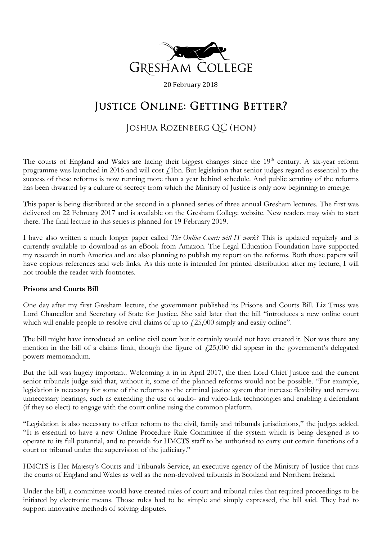

20 February 2018

# JUSTICE ONLINE: GETTING BETTER?

## JOSHUA ROZENBERG QC (HON)

The courts of England and Wales are facing their biggest changes since the  $19<sup>th</sup>$  century. A six-year reform programme was launched in 2016 and will cost *f*.1bn. But legislation that senior judges regard as essential to the success of these reforms is now running more than a year behind schedule. And public scrutiny of the reforms has been thwarted by a culture of secrecy from which the Ministry of Justice is only now beginning to emerge.

This paper is being distributed at the second in a planned series of three annual Gresham lectures. The first was delivered on 22 February 2017 and is available on the Gresham College website. New readers may wish to start there. The final lecture in this series is planned for 19 February 2019.

I have also written a much longer paper called *The Online Court: will IT work?* This is updated regularly and is currently available to download as an eBook from Amazon. The Legal Education Foundation have supported my research in north America and are also planning to publish my report on the reforms. Both those papers will have copious references and web links. As this note is intended for printed distribution after my lecture, I will not trouble the reader with footnotes.

#### **Prisons and Courts Bill**

One day after my first Gresham lecture, the government published its Prisons and Courts Bill. Liz Truss was Lord Chancellor and Secretary of State for Justice. She said later that the bill "introduces a new online court which will enable people to resolve civil claims of up to  $\ell$ 25,000 simply and easily online".

The bill might have introduced an online civil court but it certainly would not have created it. Nor was there any mention in the bill of a claims limit, though the figure of  $f(25,000)$  did appear in the government's delegated powers memorandum.

But the bill was hugely important. Welcoming it in in April 2017, the then Lord Chief Justice and the current senior tribunals judge said that, without it, some of the planned reforms would not be possible. "For example, legislation is necessary for some of the reforms to the criminal justice system that increase flexibility and remove unnecessary hearings, such as extending the use of audio- and video-link technologies and enabling a defendant (if they so elect) to engage with the court online using the common platform.

"Legislation is also necessary to effect reform to the civil, family and tribunals jurisdictions," the judges added. "It is essential to have a new Online Procedure Rule Committee if the system which is being designed is to operate to its full potential, and to provide for HMCTS staff to be authorised to carry out certain functions of a court or tribunal under the supervision of the judiciary."

HMCTS is Her Majesty's Courts and Tribunals Service, an executive agency of the Ministry of Justice that runs the courts of England and Wales as well as the non-devolved tribunals in Scotland and Northern Ireland.

Under the bill, a committee would have created rules of court and tribunal rules that required proceedings to be initiated by electronic means. Those rules had to be simple and simply expressed, the bill said. They had to support innovative methods of solving disputes.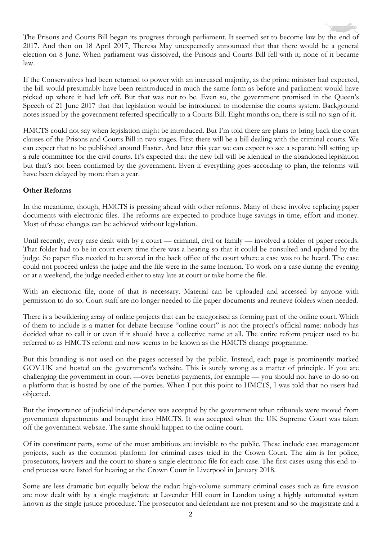The Prisons and Courts Bill began its progress through parliament. It seemed set to become law by the end of 2017. And then on 18 April 2017, Theresa May unexpectedly announced that that there would be a general election on 8 June. When parliament was dissolved, the Prisons and Courts Bill fell with it; none of it became law.

If the Conservatives had been returned to power with an increased majority, as the prime minister had expected, the bill would presumably have been reintroduced in much the same form as before and parliament would have picked up where it had left off. But that was not to be. Even so, the government promised in the Queen's Speech of 21 June 2017 that that legislation would be introduced to modernise the courts system. Background notes issued by the government referred specifically to a Courts Bill. Eight months on, there is still no sign of it.

HMCTS could not say when legislation might be introduced. But I'm told there are plans to bring back the court clauses of the Prisons and Courts Bill in two stages. First there will be a bill dealing with the criminal courts. We can expect that to be published around Easter. And later this year we can expect to see a separate bill setting up a rule committee for the civil courts. It's expected that the new bill will be identical to the abandoned legislation but that's not been confirmed by the government. Even if everything goes according to plan, the reforms will have been delayed by more than a year.

### **Other Reforms**

In the meantime, though, HMCTS is pressing ahead with other reforms. Many of these involve replacing paper documents with electronic files. The reforms are expected to produce huge savings in time, effort and money. Most of these changes can be achieved without legislation.

Until recently, every case dealt with by a court — criminal, civil or family — involved a folder of paper records. That folder had to be in court every time there was a hearing so that it could be consulted and updated by the judge. So paper files needed to be stored in the back office of the court where a case was to be heard. The case could not proceed unless the judge and the file were in the same location. To work on a case during the evening or at a weekend, the judge needed either to stay late at court or take home the file.

With an electronic file, none of that is necessary. Material can be uploaded and accessed by anyone with permission to do so. Court staff are no longer needed to file paper documents and retrieve folders when needed.

There is a bewildering array of online projects that can be categorised as forming part of the online court. Which of them to include is a matter for debate because "online court" is not the project's official name: nobody has decided what to call it or even if it should have a collective name at all. The entire reform project used to be referred to as HMCTS reform and now seems to be known as the HMCTS change programme.

But this branding is not used on the pages accessed by the public. Instead, each page is prominently marked GOV.UK and hosted on the government's website. This is surely wrong as a matter of principle. If you are challenging the government in court —over benefits payments, for example — you should not have to do so on a platform that is hosted by one of the parties. When I put this point to HMCTS, I was told that no users had objected.

But the importance of judicial independence was accepted by the government when tribunals were moved from government departments and brought into HMCTS. It was accepted when the UK Supreme Court was taken off the government website. The same should happen to the online court.

Of its constituent parts, some of the most ambitious are invisible to the public. These include case management projects, such as the common platform for criminal cases tried in the Crown Court. The aim is for police, prosecutors, lawyers and the court to share a single electronic file for each case. The first cases using this end-toend process were listed for hearing at the Crown Court in Liverpool in January 2018.

Some are less dramatic but equally below the radar: high-volume summary criminal cases such as fare evasion are now dealt with by a single magistrate at Lavender Hill court in London using a highly automated system known as the single justice procedure. The prosecutor and defendant are not present and so the magistrate and a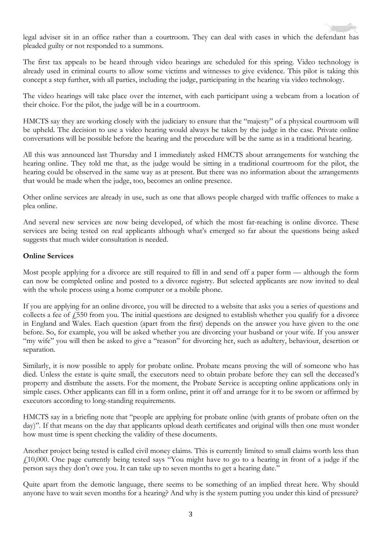legal adviser sit in an office rather than a courtroom. They can deal with cases in which the defendant has pleaded guilty or not responded to a summons.

The first tax appeals to be heard through video hearings are scheduled for this spring. Video technology is already used in criminal courts to allow some victims and witnesses to give evidence. This pilot is taking this concept a step further, with all parties, including the judge, participating in the hearing via video technology.

The video hearings will take place over the internet, with each participant using a webcam from a location of their choice. For the pilot, the judge will be in a courtroom.

HMCTS say they are working closely with the judiciary to ensure that the "majesty" of a physical courtroom will be upheld. The decision to use a video hearing would always be taken by the judge in the case. Private online conversations will be possible before the hearing and the procedure will be the same as in a traditional hearing.

All this was announced last Thursday and I immediately asked HMCTS about arrangements for watching the hearing online. They told me that, as the judge would be sitting in a traditional courtroom for the pilot, the hearing could be observed in the same way as at present. But there was no information about the arrangements that would be made when the judge, too, becomes an online presence.

Other online services are already in use, such as one that allows people charged with traffic offences to make a plea online.

And several new services are now being developed, of which the most far-reaching is online divorce. These services are being tested on real applicants although what's emerged so far about the questions being asked suggests that much wider consultation is needed.

#### **Online Services**

Most people applying for a divorce are still required to fill in and send off a paper form — although the form can now be completed online and posted to a divorce registry. But selected applicants are now invited to deal with the whole process using a home computer or a mobile phone.

If you are applying for an online divorce, you will be directed to a website that asks you a series of questions and collects a fee of  $\frac{1550}{100}$  from you. The initial questions are designed to establish whether you qualify for a divorce in England and Wales. Each question (apart from the first) depends on the answer you have given to the one before. So, for example, you will be asked whether you are divorcing your husband or your wife. If you answer "my wife" you will then be asked to give a "reason" for divorcing her, such as adultery, behaviour, desertion or separation.

Similarly, it is now possible to apply for probate online. Probate means proving the will of someone who has died. Unless the estate is quite small, the executors need to obtain probate before they can sell the deceased's property and distribute the assets. For the moment, the Probate Service is accepting online applications only in simple cases. Other applicants can fill in a form online, print it off and arrange for it to be sworn or affirmed by executors according to long-standing requirements.

HMCTS say in a briefing note that "people are applying for probate online (with grants of probate often on the day)". If that means on the day that applicants upload death certificates and original wills then one must wonder how must time is spent checking the validity of these documents.

Another project being tested is called civil money claims. This is currently limited to small claims worth less than  $\ell$ 10,000. One page currently being tested says "You might have to go to a hearing in front of a judge if the person says they don't owe you. It can take up to seven months to get a hearing date."

Quite apart from the demotic language, there seems to be something of an implied threat here. Why should anyone have to wait seven months for a hearing? And why is the system putting you under this kind of pressure?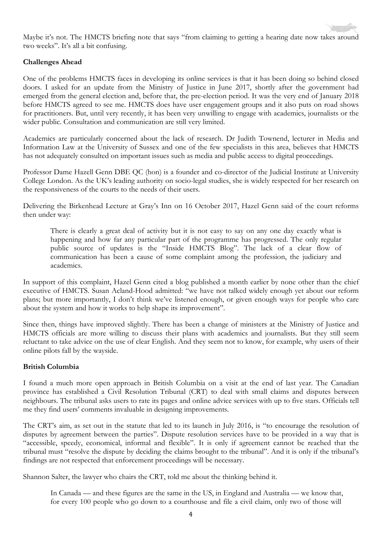

Maybe it's not. The HMCTS briefing note that says "from claiming to getting a hearing date now takes around two weeks". It's all a bit confusing.

#### **Challenges Ahead**

One of the problems HMCTS faces in developing its online services is that it has been doing so behind closed doors. I asked for an update from the Ministry of Justice in June 2017, shortly after the government had emerged from the general election and, before that, the pre-election period. It was the very end of January 2018 before HMCTS agreed to see me. HMCTS does have user engagement groups and it also puts on road shows for practitioners. But, until very recently, it has been very unwilling to engage with academics, journalists or the wider public. Consultation and communication are still very limited.

Academics are particularly concerned about the lack of research. Dr Judith Townend, lecturer in Media and Information Law at the University of Sussex and one of the few specialists in this area, believes that HMCTS has not adequately consulted on important issues such as media and public access to digital proceedings.

Professor Dame Hazell Genn DBE QC (hon) is a founder and co-director of the Judicial Institute at University College London. As the UK's leading authority on socio-legal studies, she is widely respected for her research on the responsiveness of the courts to the needs of their users.

Delivering the Birkenhead Lecture at Gray's Inn on 16 October 2017, Hazel Genn said of the court reforms then under way:

There is clearly a great deal of activity but it is not easy to say on any one day exactly what is happening and how far any particular part of the programme has progressed. The only regular public source of updates is the "Inside HMCTS Blog". The lack of a clear flow of communication has been a cause of some complaint among the profession, the judiciary and academics.

In support of this complaint, Hazel Genn cited a blog published a month earlier by none other than the chief executive of HMCTS. Susan Acland-Hood admitted: "we have not talked widely enough yet about our reform plans; but more importantly, I don't think we've listened enough, or given enough ways for people who care about the system and how it works to help shape its improvement".

Since then, things have improved slightly. There has been a change of ministers at the Ministry of Justice and HMCTS officials are more willing to discuss their plans with academics and journalists. But they still seem reluctant to take advice on the use of clear English. And they seem not to know, for example, why users of their online pilots fall by the wayside.

#### **British Columbia**

I found a much more open approach in British Columbia on a visit at the end of last year. The Canadian province has established a Civil Resolution Tribunal (CRT) to deal with small claims and disputes between neighbours. The tribunal asks users to rate its pages and online advice services with up to five stars. Officials tell me they find users' comments invaluable in designing improvements.

The CRT's aim, as set out in the statute that led to its launch in July 2016, is "to encourage the resolution of disputes by agreement between the parties". Dispute resolution services have to be provided in a way that is "accessible, speedy, economical, informal and flexible". It is only if agreement cannot be reached that the tribunal must "resolve the dispute by deciding the claims brought to the tribunal". And it is only if the tribunal's findings are not respected that enforcement proceedings will be necessary.

Shannon Salter, the lawyer who chairs the CRT, told me about the thinking behind it.

In Canada — and these figures are the same in the US, in England and Australia — we know that, for every 100 people who go down to a courthouse and file a civil claim, only two of those will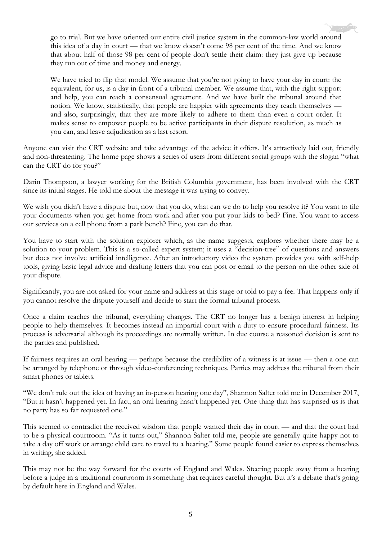go to trial. But we have oriented our entire civil justice system in the common-law world around this idea of a day in court — that we know doesn't come 98 per cent of the time. And we know that about half of those 98 per cent of people don't settle their claim: they just give up because they run out of time and money and energy.

We have tried to flip that model. We assume that you're not going to have your day in court: the equivalent, for us, is a day in front of a tribunal member. We assume that, with the right support and help, you can reach a consensual agreement. And we have built the tribunal around that notion. We know, statistically, that people are happier with agreements they reach themselves and also, surprisingly, that they are more likely to adhere to them than even a court order. It makes sense to empower people to be active participants in their dispute resolution, as much as you can, and leave adjudication as a last resort.

Anyone can visit the CRT website and take advantage of the advice it offers. It's attractively laid out, friendly and non-threatening. The home page shows a series of users from different social groups with the slogan "what can the CRT do for you?"

Darin Thompson, a lawyer working for the British Columbia government, has been involved with the CRT since its initial stages. He told me about the message it was trying to convey.

We wish you didn't have a dispute but, now that you do, what can we do to help you resolve it? You want to file your documents when you get home from work and after you put your kids to bed? Fine. You want to access our services on a cell phone from a park bench? Fine, you can do that.

You have to start with the solution explorer which, as the name suggests, explores whether there may be a solution to your problem. This is a so-called expert system; it uses a "decision-tree" of questions and answers but does not involve artificial intelligence. After an introductory video the system provides you with self-help tools, giving basic legal advice and drafting letters that you can post or email to the person on the other side of your dispute.

Significantly, you are not asked for your name and address at this stage or told to pay a fee. That happens only if you cannot resolve the dispute yourself and decide to start the formal tribunal process.

Once a claim reaches the tribunal, everything changes. The CRT no longer has a benign interest in helping people to help themselves. It becomes instead an impartial court with a duty to ensure procedural fairness. Its process is adversarial although its proceedings are normally written. In due course a reasoned decision is sent to the parties and published.

If fairness requires an oral hearing — perhaps because the credibility of a witness is at issue — then a one can be arranged by telephone or through video-conferencing techniques. Parties may address the tribunal from their smart phones or tablets.

"We don't rule out the idea of having an in-person hearing one day", Shannon Salter told me in December 2017, "But it hasn't happened yet. In fact, an oral hearing hasn't happened yet. One thing that has surprised us is that no party has so far requested one."

This seemed to contradict the received wisdom that people wanted their day in court — and that the court had to be a physical courtroom. "As it turns out," Shannon Salter told me, people are generally quite happy not to take a day off work or arrange child care to travel to a hearing." Some people found easier to express themselves in writing, she added.

This may not be the way forward for the courts of England and Wales. Steering people away from a hearing before a judge in a traditional courtroom is something that requires careful thought. But it's a debate that's going by default here in England and Wales.